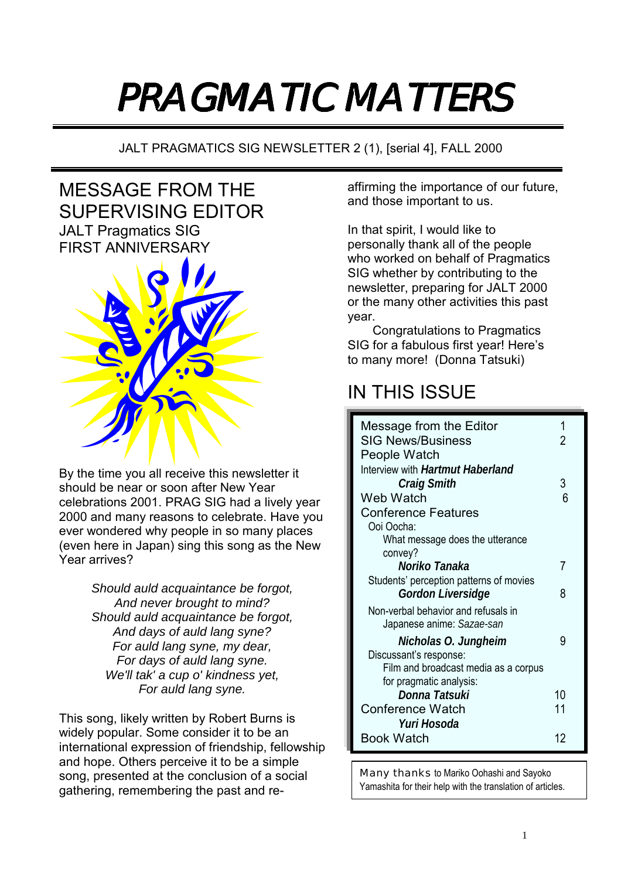# PRAGMATIC MATTERS

JALT PRAGMATICS SIG NEWSLETTER 2 (1), [serial 4], FALL 2000

# MESSAGE FROM THE SUPERVISING EDITOR JALT Pragmatics SIG FIRST ANNIVERSARY



By the time you all receive this newsletter it should be near or soon after New Year celebrations 2001. PRAG SIG had a lively year 2000 and many reasons to celebrate. Have you ever wondered why people in so many places (even here in Japan) sing this song as the New Year arrives?

> *Should auld acquaintance be forgot, And never brought to mind? Should auld acquaintance be forgot, And days of auld lang syne? For auld lang syne, my dear, For days of auld lang syne. We'll tak' a cup o' kindness yet, For auld lang syne.*

This song, likely written by Robert Burns is widely popular. Some consider it to be an international expression of friendship, fellowship and hope. Others perceive it to be a simple song, presented at the conclusion of a social gathering, remembering the past and reaffirming the importance of our future, and those important to us.

In that spirit, I would like to personally thank all of the people who worked on behalf of Pragmatics SIG whether by contributing to the newsletter, preparing for JALT 2000 or the many other activities this past year.

Congratulations to Pragmatics SIG for a fabulous first year! Here's to many more! (Donna Tatsuki)

# IN THIS ISSUE

| Message from the Editor                 |    |
|-----------------------------------------|----|
| <b>SIG News/Business</b>                |    |
| People Watch                            |    |
| Interview with <i>Hartmut Haberland</i> |    |
| <b>Craig Smith</b>                      | 3  |
| Web Watch                               | 6  |
| <b>Conference Features</b>              |    |
| Ooi Oocha:                              |    |
| What message does the utterance         |    |
| convey?                                 |    |
| Noriko Tanaka                           | 7  |
| Students' perception patterns of movies |    |
| Gordon Liversidge                       | 8  |
| Non-verbal behavior and refusals in     |    |
| Japanese anime: Sazae-san               |    |
| Nicholas O. Jungheim                    | 9  |
| Discussant's response:                  |    |
| Film and broadcast media as a corpus    |    |
| for pragmatic analysis:                 |    |
| Donna Tatsuki                           | 10 |
| <b>Conference Watch</b>                 | 11 |
| Yuri Hosoda                             |    |
| Book Watch                              | 12 |
|                                         |    |

Many thanks to Mariko Oohashi and Sayoko Yamashita for their help with the translation of articles.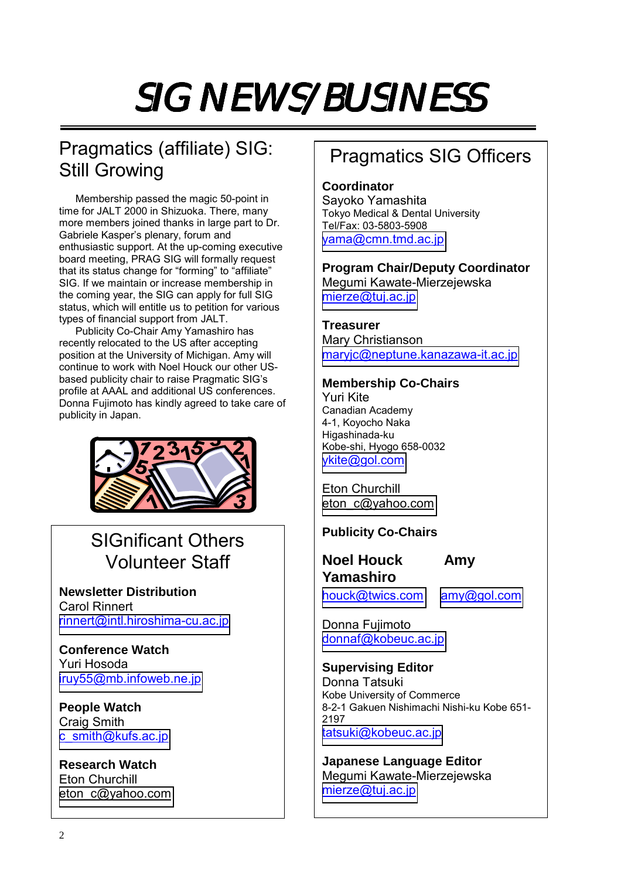# SIG NEWS/BUSINESS

# Pragmatics (affiliate) SIG: Still Growing

Membership passed the magic 50-point in time for JALT 2000 in Shizuoka. There, many more members joined thanks in large part to Dr. Gabriele Kasper's plenary, forum and enthusiastic support. At the up-coming executive board meeting, PRAG SIG will formally request that its status change for "forming" to "affiliate" SIG. If we maintain or increase membership in the coming year, the SIG can apply for full SIG status, which will entitle us to petition for various types of financial support from JALT.

Publicity Co-Chair Amy Yamashiro has recently relocated to the US after accepting position at the University of Michigan. Amy will continue to work with Noel Houck our other USbased publicity chair to raise Pragmatic SIG's profile at AAAL and additional US conferences. Donna Fujimoto has kindly agreed to take care of publicity in Japan.



# SIGnificant Others Volunteer Staff

**Newsletter Distribution**  Carol Rinnert [rinnert@intl.hiroshima-cu.ac.jp](mailto:rinnert@intl.hiroshima-cu.ac.jp)

**Conference Watch**  Yuri Hosoda [iruy55@mb.infoweb.ne.jp](mailto:iruy55@mb.infoweb.ne.jp)

**People Watch**  Craig Smith [c\\_smith@kufs.ac.jp](mailto:c_smith@kufs.ac.jp)

**Research Watch**  Eton Churchill [eton\\_c@yahoo.com](mailto:PXQ00514@nifty.ne.jp)

# Pragmatics SIG Officers

**Coordinator**  Sayoko Yamashita Tokyo Medical & Dental University Tel/Fax: 03-5803-5908 [yama@cmn.tmd.ac.jp](mailto:yama@cmn.tmd.ac.jp)

**Program Chair/Deputy Coordinator**  Megumi Kawate-Mierzejewska [mierze@tuj.ac.jp](mailto:mierze@tuj.ac.jp)

# **Treasurer**

Mary Christianson [maryjc@neptune.kanazawa-it.ac.jp](mailto:maryjc@neptune.kanazawa-it.ac.jp)

# **Membership Co-Chairs**

Yuri Kite Canadian Academy 4-1, Koyocho Naka Higashinada-ku Kobe-shi, Hyogo 658-0032 [ykite@gol.com](mailto:ykite@gol.com)

Eton Churchill [eton\\_c@yahoo.com](mailto:PXQ00514@nifty.ne.jp)

# **Publicity Co-Chairs**

**Noel Houck Amy Yamashiro** 

[houck@twics.com](mailto:houck@twics.com) [amy@gol.com](mailto:amy@gol.com)

Donna Fujimoto [donnaf@kobeuc.ac.jp](mailto:donnaf@kobeuc.ac.jp)

**Supervising Editor**  Donna Tatsuki Kobe University of Commerce 8-2-1 Gakuen Nishimachi Nishi-ku Kobe 651- 2197 [tatsuki@kobeuc.ac.jp](mailto:tatsuki@kobeuc.ac.jp)

**Japanese Language Editor**  Megumi Kawate-Mierzejewska [mierze@tuj.ac.jp](mailto:mierze@tuj.ac.jp)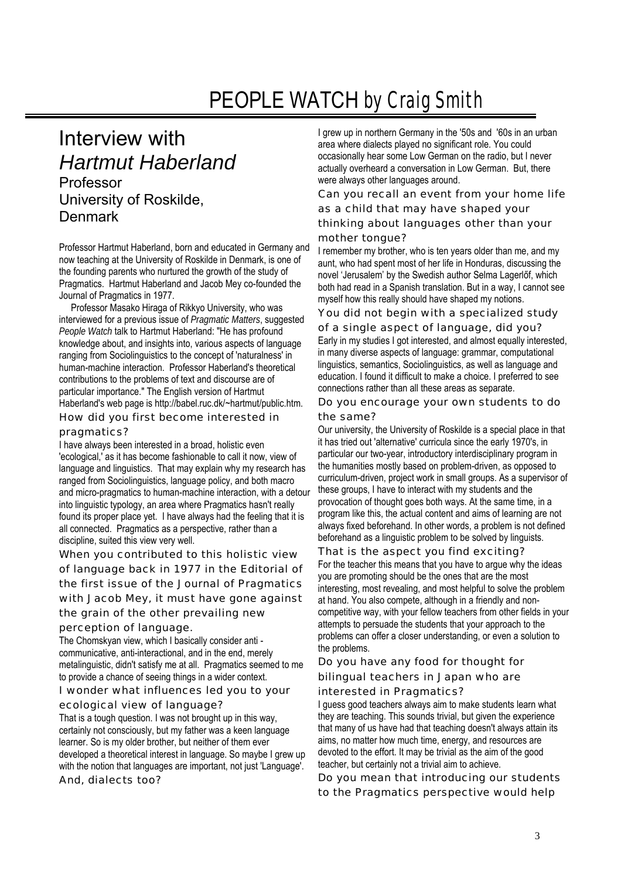# PEOPLE WATCH *by Craig Smith*

# Interview with *Hartmut Haberland*  Professor University of Roskilde, Denmark

Professor Hartmut Haberland, born and educated in Germany and now teaching at the University of Roskilde in Denmark, is one of the founding parents who nurtured the growth of the study of Pragmatics. Hartmut Haberland and Jacob Mey co-founded the Journal of Pragmatics in 1977.

 Professor Masako Hiraga of Rikkyo University, who was interviewed for a previous issue of *Pragmatic Matters*, suggested *People Watch* talk to Hartmut Haberland: "He has profound knowledge about, and insights into, various aspects of language ranging from Sociolinguistics to the concept of 'naturalness' in human-machine interaction. Professor Haberland's theoretical contributions to the problems of text and discourse are of particular importance." The English version of Hartmut Haberland's web page is http://babel.ruc.dk/~hartmut/public.htm.

How did you first become interested in pragmatics?

I have always been interested in a broad, holistic even 'ecological,' as it has become fashionable to call it now, view of language and linguistics. That may explain why my research has ranged from Sociolinguistics, language policy, and both macro and micro-pragmatics to human-machine interaction, with a detour into linguistic typology, an area where Pragmatics hasn't really found its proper place yet. I have always had the feeling that it is all connected. Pragmatics as a perspective, rather than a discipline, suited this view very well.

When you contributed to this holistic view of language back in 1977 in the Editorial of the first issue of the Journal of Pragmatics with Jacob Mey, it must have gone against the grain of the other prevailing new perception of language.

The Chomskyan view, which I basically consider anti communicative, anti-interactional, and in the end, merely metalinguistic, didn't satisfy me at all. Pragmatics seemed to me to provide a chance of seeing things in a wider context.

I wonder what influences led you to your

#### ecological view of language?

That is a tough question. I was not brought up in this way, certainly not consciously, but my father was a keen language learner. So is my older brother, but neither of them ever developed a theoretical interest in language. So maybe I grew up with the notion that languages are important, not just 'Language'. And, dialects too?

I grew up in northern Germany in the '50s and '60s in an urban area where dialects played no significant role. You could occasionally hear some Low German on the radio, but I never actually overheard a conversation in Low German. But, there were always other languages around.

Can you recall an event from your home life as a child that may have shaped your

## thinking about languages other than your mother tongue?

I remember my brother, who is ten years older than me, and my aunt, who had spent most of her life in Honduras, discussing the novel 'Jerusalem' by the Swedish author Selma Lagerlőf, which both had read in a Spanish translation. But in a way, I cannot see myself how this really should have shaped my notions.

You did not begin with a specialized study

of a single aspect of language, did you? Early in my studies I got interested, and almost equally interested, in many diverse aspects of language: grammar, computational linguistics, semantics, Sociolinguistics, as well as language and education. I found it difficult to make a choice. I preferred to see connections rather than all these areas as separate.

Do you encourage your own students to do the same?

Our university, the University of Roskilde is a special place in that it has tried out 'alternative' curricula since the early 1970's, in particular our two-year, introductory interdisciplinary program in the humanities mostly based on problem-driven, as opposed to curriculum-driven, project work in small groups. As a supervisor of these groups, I have to interact with my students and the provocation of thought goes both ways. At the same time, in a program like this, the actual content and aims of learning are not always fixed beforehand. In other words, a problem is not defined beforehand as a linguistic problem to be solved by linguists.

#### That is the aspect you find exciting?

For the teacher this means that you have to argue why the ideas you are promoting should be the ones that are the most interesting, most revealing, and most helpful to solve the problem at hand. You also compete, although in a friendly and noncompetitive way, with your fellow teachers from other fields in your attempts to persuade the students that your approach to the problems can offer a closer understanding, or even a solution to the problems.

Do you have any food for thought for bilingual teachers in Japan who are

# interested in Pragmatics?

I guess good teachers always aim to make students learn what they are teaching. This sounds trivial, but given the experience that many of us have had that teaching doesn't always attain its aims, no matter how much time, energy, and resources are devoted to the effort. It may be trivial as the aim of the good teacher, but certainly not a trivial aim to achieve.

Do you mean that introducing our students to the Pragmatics perspective would help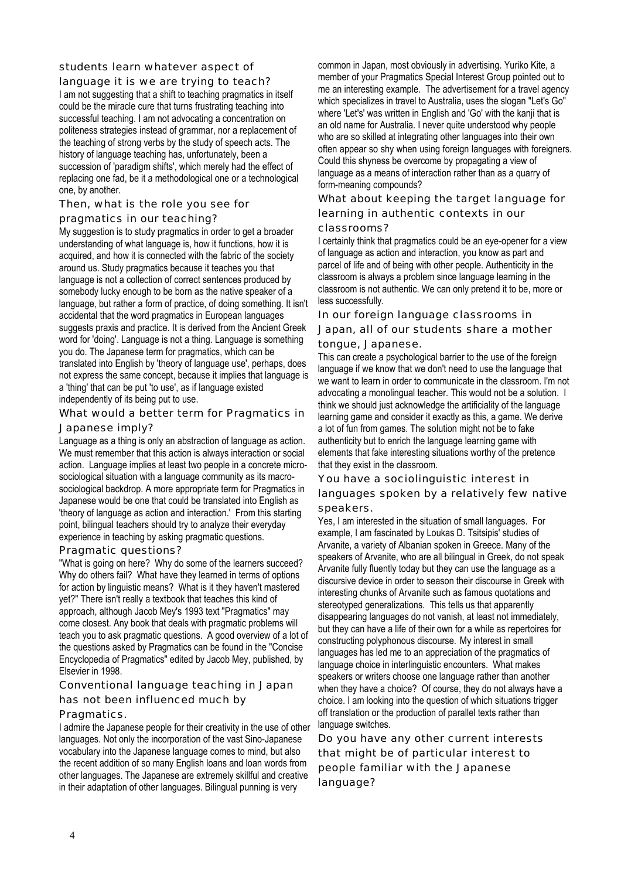## students learn whatever aspect of

language it is we are trying to teach? I am not suggesting that a shift to teaching pragmatics in itself could be the miracle cure that turns frustrating teaching into successful teaching. I am not advocating a concentration on politeness strategies instead of grammar, nor a replacement of the teaching of strong verbs by the study of speech acts. The history of language teaching has, unfortunately, been a succession of 'paradigm shifts', which merely had the effect of replacing one fad, be it a methodological one or a technological one, by another.

## Then, what is the role you see for

pragmatics in our teaching?

My suggestion is to study pragmatics in order to get a broader understanding of what language is, how it functions, how it is acquired, and how it is connected with the fabric of the society around us. Study pragmatics because it teaches you that language is not a collection of correct sentences produced by somebody lucky enough to be born as the native speaker of a language, but rather a form of practice, of doing something. It isn't accidental that the word pragmatics in European languages suggests praxis and practice. It is derived from the Ancient Greek word for 'doing'. Language is not a thing. Language is something you do. The Japanese term for pragmatics, which can be translated into English by 'theory of language use', perhaps, does not express the same concept, because it implies that language is a 'thing' that can be put 'to use', as if language existed independently of its being put to use.

## What would a better term for Pragmatics in Japanese imply?

Language as a thing is only an abstraction of language as action. We must remember that this action is always interaction or social action. Language implies at least two people in a concrete microsociological situation with a language community as its macrosociological backdrop. A more appropriate term for Pragmatics in Japanese would be one that could be translated into English as 'theory of language as action and interaction.' From this starting point, bilingual teachers should try to analyze their everyday experience in teaching by asking pragmatic questions.

#### Pragmatic questions?

"What is going on here? Why do some of the learners succeed? Why do others fail? What have they learned in terms of options for action by linguistic means? What is it they haven't mastered yet?" There isn't really a textbook that teaches this kind of approach, although Jacob Mey's 1993 text "Pragmatics" may come closest. Any book that deals with pragmatic problems will teach you to ask pragmatic questions. A good overview of a lot of the questions asked by Pragmatics can be found in the "Concise Encyclopedia of Pragmatics" edited by Jacob Mey, published, by Elsevier in 1998.

## Conventional language teaching in Japan

## has not been influenced much by

#### Pragmatics.

I admire the Japanese people for their creativity in the use of other languages. Not only the incorporation of the vast Sino-Japanese vocabulary into the Japanese language comes to mind, but also the recent addition of so many English loans and loan words from other languages. The Japanese are extremely skillful and creative in their adaptation of other languages. Bilingual punning is very

common in Japan, most obviously in advertising. Yuriko Kite, a member of your Pragmatics Special Interest Group pointed out to me an interesting example. The advertisement for a travel agency which specializes in travel to Australia, uses the slogan "Let's Go" where 'Let's' was written in English and 'Go' with the kanji that is an old name for Australia. I never quite understood why people who are so skilled at integrating other languages into their own often appear so shy when using foreign languages with foreigners. Could this shyness be overcome by propagating a view of language as a means of interaction rather than as a quarry of form-meaning compounds?

What about keeping the target language for learning in authentic contexts in our

#### classrooms?

I certainly think that pragmatics could be an eye-opener for a view of language as action and interaction, you know as part and parcel of life and of being with other people. Authenticity in the classroom is always a problem since language learning in the classroom is not authentic. We can only pretend it to be, more or less successfully.

#### In our foreign language classrooms in

#### Japan, all of our students share a mother tongue, Japanese.

This can create a psychological barrier to the use of the foreign language if we know that we don't need to use the language that we want to learn in order to communicate in the classroom. I'm not advocating a monolingual teacher. This would not be a solution. I think we should just acknowledge the artificiality of the language learning game and consider it exactly as this, a game. We derive a lot of fun from games. The solution might not be to fake authenticity but to enrich the language learning game with elements that fake interesting situations worthy of the pretence that they exist in the classroom.

#### You have a sociolinguistic interest in

#### languages spoken by a relatively few native speakers.

Yes, I am interested in the situation of small languages. For example, I am fascinated by Loukas D. Tsitsipis' studies of Arvanite, a variety of Albanian spoken in Greece. Many of the speakers of Arvanite, who are all bilingual in Greek, do not speak Arvanite fully fluently today but they can use the language as a discursive device in order to season their discourse in Greek with interesting chunks of Arvanite such as famous quotations and stereotyped generalizations. This tells us that apparently disappearing languages do not vanish, at least not immediately, but they can have a life of their own for a while as repertoires for constructing polyphonous discourse. My interest in small languages has led me to an appreciation of the pragmatics of language choice in interlinguistic encounters. What makes speakers or writers choose one language rather than another when they have a choice? Of course, they do not always have a choice. I am looking into the question of which situations trigger off translation or the production of parallel texts rather than language switches.

Do you have any other current interests that might be of particular interest to people familiar with the Japanese language?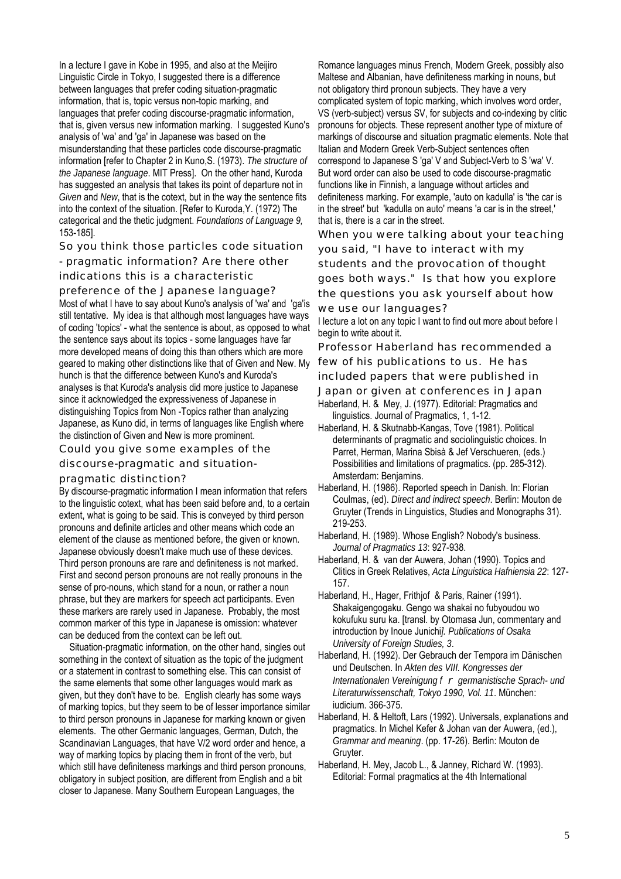In a lecture I gave in Kobe in 1995, and also at the Meijiro Linguistic Circle in Tokyo, I suggested there is a difference between languages that prefer coding situation-pragmatic information, that is, topic versus non-topic marking, and languages that prefer coding discourse-pragmatic information, that is, given versus new information marking. I suggested Kuno's analysis of 'wa' and 'ga' in Japanese was based on the misunderstanding that these particles code discourse-pragmatic information [refer to Chapter 2 in Kuno,S. (1973). *The structure of the Japanese language*. MIT Press]. On the other hand, Kuroda has suggested an analysis that takes its point of departure not in *Given* and *New*, that is the cotext, but in the way the sentence fits into the context of the situation. [Refer to Kuroda,Y. (1972) The categorical and the thetic judgment. *Foundations of Language 9,*  153-185].

So you think those particles code situation

- pragmatic information? Are there other indications this is a characteristic

preference of the Japanese language? Most of what I have to say about Kuno's analysis of 'wa' and 'ga'is still tentative. My idea is that although most languages have ways of coding 'topics' - what the sentence is about, as opposed to what the sentence says about its topics - some languages have far more developed means of doing this than others which are more geared to making other distinctions like that of Given and New. My hunch is that the difference between Kuno's and Kuroda's analyses is that Kuroda's analysis did more justice to Japanese since it acknowledged the expressiveness of Japanese in distinguishing Topics from Non -Topics rather than analyzing Japanese, as Kuno did, in terms of languages like English where the distinction of Given and New is more prominent.

Could you give some examples of the discourse-pragmatic and situation-

#### pragmatic distinction?

By discourse-pragmatic information I mean information that refers to the linguistic cotext, what has been said before and, to a certain extent, what is going to be said. This is conveyed by third person pronouns and definite articles and other means which code an element of the clause as mentioned before, the given or known. Japanese obviously doesn't make much use of these devices. Third person pronouns are rare and definiteness is not marked. First and second person pronouns are not really pronouns in the sense of pro-nouns, which stand for a noun, or rather a noun phrase, but they are markers for speech act participants. Even these markers are rarely used in Japanese. Probably, the most common marker of this type in Japanese is omission: whatever can be deduced from the context can be left out.

Situation-pragmatic information, on the other hand, singles out something in the context of situation as the topic of the judgment or a statement in contrast to something else. This can consist of the same elements that some other languages would mark as given, but they don't have to be. English clearly has some ways of marking topics, but they seem to be of lesser importance similar to third person pronouns in Japanese for marking known or given elements. The other Germanic languages, German, Dutch, the Scandinavian Languages, that have V/2 word order and hence, a way of marking topics by placing them in front of the verb, but which still have definiteness markings and third person pronouns, obligatory in subject position, are different from English and a bit closer to Japanese. Many Southern European Languages, the

Romance languages minus French, Modern Greek, possibly also Maltese and Albanian, have definiteness marking in nouns, but not obligatory third pronoun subjects. They have a very complicated system of topic marking, which involves word order, VS (verb-subject) versus SV, for subjects and co-indexing by clitic pronouns for objects. These represent another type of mixture of markings of discourse and situation pragmatic elements. Note that Italian and Modern Greek Verb-Subject sentences often correspond to Japanese S 'ga' V and Subject-Verb to S 'wa' V. But word order can also be used to code discourse-pragmatic functions like in Finnish, a language without articles and definiteness marking. For example, 'auto on kadulla' is 'the car is in the street' but 'kadulla on auto' means 'a car is in the street,' that is, there is a car in the street.

When you were talking about your teaching you said, "I have to interact with my students and the provocation of thought goes both ways." Is that how you explore the questions you ask yourself about how we use our languages?

I lecture a lot on any topic I want to find out more about before I begin to write about it.

Professor Haberland has recommended a few of his publications to us. He has

included papers that were published in

Japan or given at conferences in Japan

Haberland, H. & Mey, J. (1977). Editorial: Pragmatics and linguistics. Journal of Pragmatics, 1, 1-12.

- Haberland, H. & Skutnabb-Kangas, Tove (1981). Political determinants of pragmatic and sociolinguistic choices. In Parret, Herman, Marina Sbisà & Jef Verschueren, (eds.) Possibilities and limitations of pragmatics. (pp. 285-312). Amsterdam: Benjamins.
- Haberland, H. (1986). Reported speech in Danish. In: Florian Coulmas, (ed). *Direct and indirect speech*. Berlin: Mouton de Gruyter (Trends in Linguistics, Studies and Monographs 31). 219-253.
- Haberland, H. (1989). Whose English? Nobody's business. *Journal of Pragmatics 13*: 927-938.

Haberland, H. & van der Auwera, Johan (1990). Topics and Clitics in Greek Relatives, *Acta Linguistica Hafniensia 22*: 127- 157.

Haberland, H., Hager, Frithiof & Paris, Rainer (1991). Shakaigengogaku. Gengo wa shakai no fubyoudou wo kokufuku suru ka. [transl. by Otomasa Jun, commentary and introduction by Inoue Junichi*]. Publications of Osaka University of Foreign Studies, 3*.

Haberland, H. (1992). Der Gebrauch der Tempora im Dänischen und Deutschen. In *Akten des VIII. Kongresses der Internationalen Vereinigung f* r *germanistische Sprach- und Literaturwissenschaft, Tokyo 1990, Vol. 11*. München: iudicium. 366-375.

Haberland, H. & Heltoft, Lars (1992). Universals, explanations and pragmatics. In Michel Kefer & Johan van der Auwera, (ed.), *Grammar and meaning*. (pp. 17-26). Berlin: Mouton de Gruyter.

Haberland, H. Mey, Jacob L., & Janney, Richard W. (1993). Editorial: Formal pragmatics at the 4th International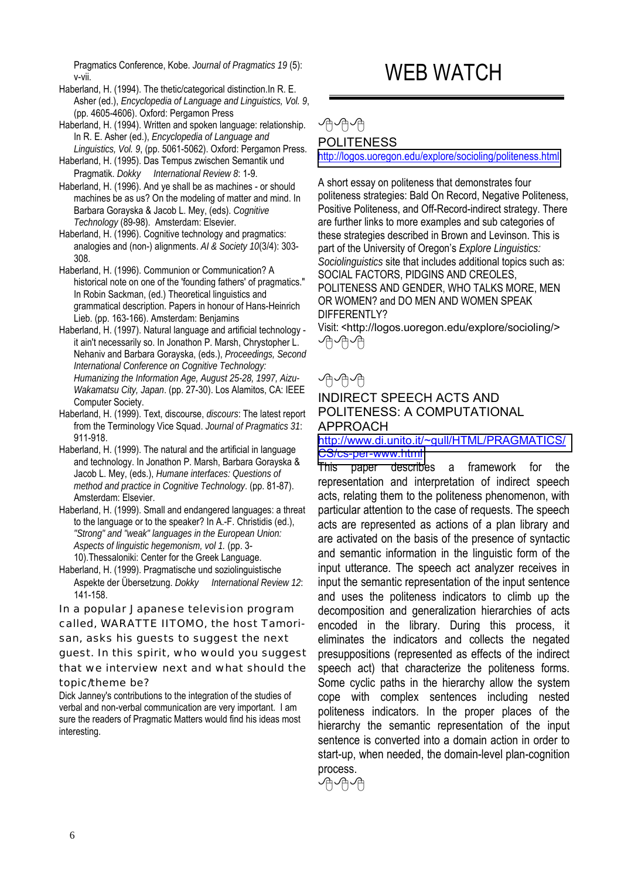Pragmatics Conference, Kobe. *Journal of Pragmatics 19* (5): v-vii.

Haberland, H. (1994). The thetic/categorical distinction.In R. E. Asher (ed.), *Encyclopedia of Language and Linguistics, Vol. 9*, (pp. 4605-4606). Oxford: Pergamon Press

- Haberland, H. (1994). Written and spoken language: relationship. In R. E. Asher (ed.), *Encyclopedia of Language and Linguistics, Vol. 9*, (pp. 5061-5062). Oxford: Pergamon Press.
- Haberland, H. (1995). Das Tempus zwischen Semantik und Pragmatik. *Dokky International Review 8*: 1-9.
- Haberland, H. (1996). And ye shall be as machines or should machines be as us? On the modeling of matter and mind. In Barbara Gorayska & Jacob L. Mey, (eds). *Cognitive Technology* (89-98). Amsterdam: Elsevier.
- Haberland, H. (1996). Cognitive technology and pragmatics: analogies and (non-) alignments. *AI & Society 10*(3/4): 303- 308.
- Haberland, H. (1996). Communion or Communication? A historical note on one of the 'founding fathers' of pragmatics." In Robin Sackman, (ed.) Theoretical linguistics and grammatical description. Papers in honour of Hans-Heinrich Lieb. (pp. 163-166). Amsterdam: Benjamins
- Haberland, H. (1997). Natural language and artificial technology it ain't necessarily so. In Jonathon P. Marsh, Chrystopher L. Nehaniv and Barbara Gorayska, (eds.), *Proceedings, Second International Conference on Cognitive Technology: Humanizing the Information Age, August 25-28, 1997, Aizu-Wakamatsu City, Japan*. (pp. 27-30). Los Alamitos, CA: IEEE Computer Society.
- Haberland, H. (1999). Text, discourse, *discours*: The latest report from the Terminology Vice Squad. *Journal of Pragmatics 31*: 911-918.
- Haberland, H. (1999). The natural and the artificial in language and technology. In Jonathon P. Marsh, Barbara Gorayska & Jacob L. Mey, (eds.), *Humane interfaces: Questions of method and practice in Cognitive Technology*. (pp. 81-87). Amsterdam: Elsevier.
- Haberland, H. (1999). Small and endangered languages: a threat to the language or to the speaker? In A.-F. Christidis (ed.), *"Strong" and "weak" languages in the European Union: Aspects of linguistic hegemonism, vol 1.* (pp. 3- 10).Thessaloniki: Center for the Greek Language.
- Haberland, H. (1999). Pragmatische und soziolinguistische Aspekte der Übersetzung. *Dokky International Review 12*: 141-158.

In a popular Japanese television program called, WARATTE IITOMO, the host Tamorisan, asks his guests to suggest the next guest. In this spirit, who would you suggest that we interview next and what should the topic/theme be?

Dick Janney's contributions to the integration of the studies of verbal and non-verbal communication are very important. I am sure the readers of Pragmatic Matters would find his ideas most interesting.

# WEB WATCH

# ∕ฅ∽⁄ฅ∽ POLITENESS

<http://logos.uoregon.edu/explore/socioling/politeness.html>

A short essay on politeness that demonstrates four politeness strategies: Bald On Record, Negative Politeness, Positive Politeness, and Off-Record-indirect strategy. There are further links to more examples and sub categories of these strategies described in Brown and Levinson. This is part of the University of Oregon's *Explore Linguistics: Sociolinguistics* site that includes additional topics such as: SOCIAL FACTORS, PIDGINS AND CREOLES, POLITENESS AND GENDER, WHO TALKS MORE, MEN OR WOMEN? and DO MEN AND WOMEN SPEAK DIFFERENTLY?

Visit: <http://logos.uoregon.edu/explore/socioling/> ∕ฅ√ฅ√ฅ

# √∄√∄√∄

# INDIRECT SPEECH ACTS AND POLITENESS: A COMPUTATIONAL APPROACH

[http://www.di.unito.it/~gull/HTML/PRAGMATICS/](http://www.di.unito.it/~gull/HTML/PRAGMATICS/CS/cs-per-www.html) [CS/cs-per-www.html](http://www.di.unito.it/~gull/HTML/PRAGMATICS/CS/cs-per-www.html)

This paper describes a framework for the representation and interpretation of indirect speech acts, relating them to the politeness phenomenon, with particular attention to the case of requests. The speech acts are represented as actions of a plan library and are activated on the basis of the presence of syntactic and semantic information in the linguistic form of the input utterance. The speech act analyzer receives in input the semantic representation of the input sentence and uses the politeness indicators to climb up the decomposition and generalization hierarchies of acts encoded in the library. During this process, it eliminates the indicators and collects the negated presuppositions (represented as effects of the indirect speech act) that characterize the politeness forms. Some cyclic paths in the hierarchy allow the system cope with complex sentences including nested politeness indicators. In the proper places of the hierarchy the semantic representation of the input sentence is converted into a domain action in order to start-up, when needed, the domain-level plan-cognition process.

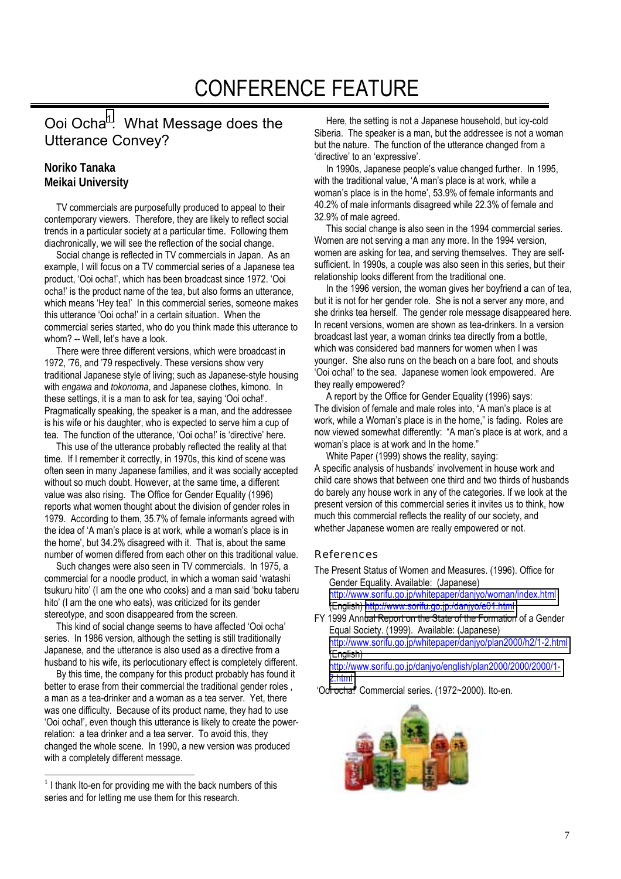# Ooi Ocha<sup>1</sup>: What Message does the Utterance Convey?

# **Noriko Tanaka Meikai University**

 TV commercials are purposefully produced to appeal to their contemporary viewers. Therefore, they are likely to reflect social trends in a particular society at a particular time. Following them diachronically, we will see the reflection of the social change.

 Social change is reflected in TV commercials in Japan. As an example, I will focus on a TV commercial series of a Japanese tea product, 'Ooi ocha!', which has been broadcast since 1972. 'Ooi ocha!' is the product name of the tea, but also forms an utterance, which means 'Hey tea!' In this commercial series, someone makes this utterance 'Ooi ocha!' in a certain situation. When the commercial series started, who do you think made this utterance to whom? -- Well, let's have a look.

 There were three different versions, which were broadcast in 1972, '76, and '79 respectively. These versions show very traditional Japanese style of living; such as Japanese-style housing with *engawa* and *tokonoma*, and Japanese clothes, kimono. In these settings, it is a man to ask for tea, saying 'Ooi ocha!'. Pragmatically speaking, the speaker is a man, and the addressee is his wife or his daughter, who is expected to serve him a cup of tea. The function of the utterance, 'Ooi ocha!' is 'directive' here.

 This use of the utterance probably reflected the reality at that time. If I remember it correctly, in 1970s, this kind of scene was often seen in many Japanese families, and it was socially accepted without so much doubt. However, at the same time, a different value was also rising. The Office for Gender Equality (1996) reports what women thought about the division of gender roles in 1979. According to them, 35.7% of female informants agreed with the idea of 'A man's place is at work, while a woman's place is in the home', but 34.2% disagreed with it. That is, about the same number of women differed from each other on this traditional value.

 Such changes were also seen in TV commercials. In 1975, a commercial for a noodle product, in which a woman said 'watashi tsukuru hito' (I am the one who cooks) and a man said 'boku taberu hito' (I am the one who eats), was criticized for its gender stereotype, and soon disappeared from the screen.

 This kind of social change seems to have affected 'Ooi ocha' series. In 1986 version, although the setting is still traditionally Japanese, and the utterance is also used as a directive from a husband to his wife, its perlocutionary effect is completely different.

 By this time, the company for this product probably has found it better to erase from their commercial the traditional gender roles. a man as a tea-drinker and a woman as a tea server. Yet, there was one difficulty. Because of its product name, they had to use 'Ooi ocha!', even though this utterance is likely to create the powerrelation: a tea drinker and a tea server. To avoid this, they changed the whole scene. In 1990, a new version was produced with a completely different message.

 Here, the setting is not a Japanese household, but icy-cold Siberia. The speaker is a man, but the addressee is not a woman but the nature. The function of the utterance changed from a 'directive' to an 'expressive'.

 In 1990s, Japanese people's value changed further. In 1995, with the traditional value, 'A man's place is at work, while a woman's place is in the home', 53.9% of female informants and 40.2% of male informants disagreed while 22.3% of female and 32.9% of male agreed.

 This social change is also seen in the 1994 commercial series. Women are not serving a man any more. In the 1994 version, women are asking for tea, and serving themselves. They are selfsufficient. In 1990s, a couple was also seen in this series, but their relationship looks different from the traditional one.

 In the 1996 version, the woman gives her boyfriend a can of tea, but it is not for her gender role. She is not a server any more, and she drinks tea herself. The gender role message disappeared here. In recent versions, women are shown as tea-drinkers. In a version broadcast last year, a woman drinks tea directly from a bottle, which was considered bad manners for women when I was younger. She also runs on the beach on a bare foot, and shouts 'Ooi ocha!' to the sea. Japanese women look empowered. Are they really empowered?

 A report by the Office for Gender Equality (1996) says: The division of female and male roles into, "A man's place is at work, while a Woman's place is in the home," is fading. Roles are now viewed somewhat differently: "A man's place is at work, and a woman's place is at work and In the home."

 White Paper (1999) shows the reality, saying: A specific analysis of husbands' involvement in house work and child care shows that between one third and two thirds of husbands do barely any house work in any of the categories. If we look at the present version of this commercial series it invites us to think, how much this commercial reflects the reality of our society, and whether Japanese women are really empowered or not.

## *References*

The Present Status of Women and Measures. (1996). Office for Gender Equality. Available: (Japanese) <http://www.sorifu.go.jp/whitepaper/danjyo/woman/index.html>

(English) <http://www.sorifu.go.jp./danjyo/e01.html>

FY 1999 Annual Report on the State of the Formation of a Gender Equal Society. (1999). Available: (Japanese) <http://www.sorifu.go.jp/whitepaper/danjyo/plan2000/h2/1-2.html> (English) [http://www.sorifu.go.jp/danjyo/english/plan2000/2000/2000/1-](http://www.sorifu.go.jp/danjyo/english/plan2000/2000/2000/1-2.h...) [2.html](http://www.sorifu.go.jp/danjyo/english/plan2000/2000/2000/1-2.h...)

'Ooi ocha!' Commercial series. (1972~2000). Ito-en.



l  $1$  I thank Ito-en for providing me with the back numbers of this series and for letting me use them for this research.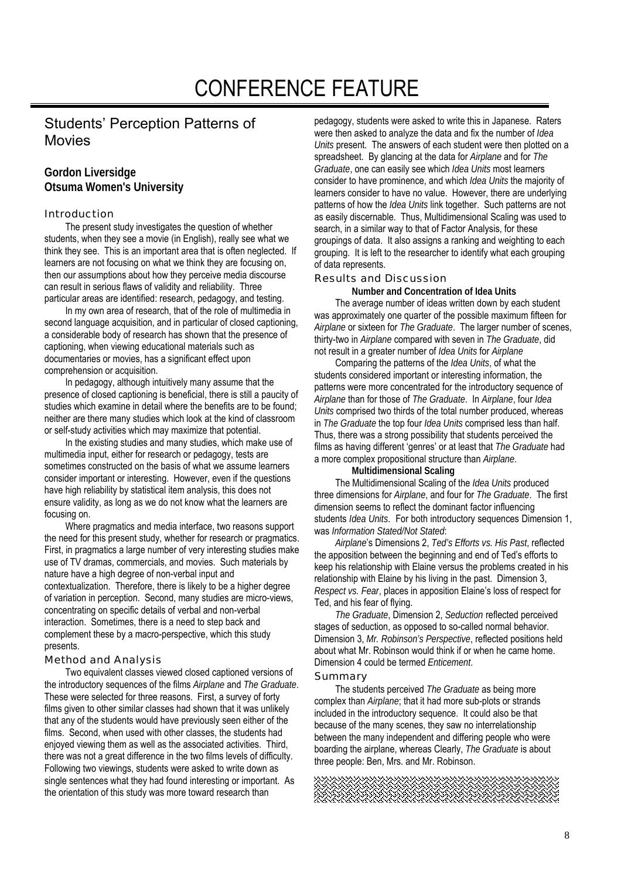# Students' Perception Patterns of Movies

# **Gordon Liversidge Otsuma Women's University**

#### Introduction

The present study investigates the question of whether students, when they see a movie (in English), really see what we think they see. This is an important area that is often neglected. If learners are not focusing on what we think they are focusing on, then our assumptions about how they perceive media discourse can result in serious flaws of validity and reliability. Three particular areas are identified: research, pedagogy, and testing.

In my own area of research, that of the role of multimedia in second language acquisition, and in particular of closed captioning, a considerable body of research has shown that the presence of captioning, when viewing educational materials such as documentaries or movies, has a significant effect upon comprehension or acquisition.

In pedagogy, although intuitively many assume that the presence of closed captioning is beneficial, there is still a paucity of studies which examine in detail where the benefits are to be found; neither are there many studies which look at the kind of classroom or self-study activities which may maximize that potential.

In the existing studies and many studies, which make use of multimedia input, either for research or pedagogy, tests are sometimes constructed on the basis of what we assume learners consider important or interesting. However, even if the questions have high reliability by statistical item analysis, this does not ensure validity, as long as we do not know what the learners are focusing on.

Where pragmatics and media interface, two reasons support the need for this present study, whether for research or pragmatics. First, in pragmatics a large number of very interesting studies make use of TV dramas, commercials, and movies. Such materials by nature have a high degree of non-verbal input and contextualization. Therefore, there is likely to be a higher degree of variation in perception. Second, many studies are micro-views, concentrating on specific details of verbal and non-verbal interaction. Sometimes, there is a need to step back and complement these by a macro-perspective, which this study presents.

## Method and Analysis

Two equivalent classes viewed closed captioned versions of the introductory sequences of the films *Airplane* and *The Graduate*. These were selected for three reasons. First, a survey of forty films given to other similar classes had shown that it was unlikely that any of the students would have previously seen either of the films. Second, when used with other classes, the students had enjoyed viewing them as well as the associated activities. Third, there was not a great difference in the two films levels of difficulty. Following two viewings, students were asked to write down as single sentences what they had found interesting or important. As the orientation of this study was more toward research than

pedagogy, students were asked to write this in Japanese. Raters were then asked to analyze the data and fix the number of *Idea Units* present. The answers of each student were then plotted on a spreadsheet. By glancing at the data for *Airplane* and for *The Graduate*, one can easily see which *Idea Units* most learners consider to have prominence, and which *Idea Units* the majority of learners consider to have no value. However, there are underlying patterns of how the *Idea Units* link together. Such patterns are not as easily discernable. Thus, Multidimensional Scaling was used to search, in a similar way to that of Factor Analysis, for these groupings of data. It also assigns a ranking and weighting to each grouping. It is left to the researcher to identify what each grouping of data represents.

#### Results and Discussion

**Number and Concentration of Idea Units** 

The average number of ideas written down by each student was approximately one quarter of the possible maximum fifteen for *Airplane* or sixteen for *The Graduate*. The larger number of scenes, thirty-two in *Airplane* compared with seven in *The Graduate*, did not result in a greater number of *Idea Units* for *Airplane*

Comparing the patterns of the *Idea Units*, of what the students considered important or interesting information, the patterns were more concentrated for the introductory sequence of *Airplane* than for those of *The Graduate*. In *Airplane*, four *Idea Units* comprised two thirds of the total number produced, whereas in *The Graduate* the top four *Idea Units* comprised less than half. Thus, there was a strong possibility that students perceived the films as having different 'genres' or at least that *The Graduate* had a more complex propositional structure than *Airplane*.

#### **Multidimensional Scaling**

The Multidimensional Scaling of the *Idea Units* produced three dimensions for *Airplane*, and four for *The Graduate*. The first dimension seems to reflect the dominant factor influencing students *Idea Units*. For both introductory sequences Dimension 1, was *Information Stated/Not Stated*:

*Airplane*'s Dimensions 2, *Ted's Efforts vs. His Past*, reflected the apposition between the beginning and end of Ted's efforts to keep his relationship with Elaine versus the problems created in his relationship with Elaine by his living in the past. Dimension 3, *Respect vs. Fear*, places in apposition Elaine's loss of respect for Ted, and his fear of flying.

*The Graduate*, Dimension 2, *Seduction* reflected perceived stages of seduction, as opposed to so-called normal behavior. Dimension 3, *Mr. Robinson's Perspective*, reflected positions held about what Mr. Robinson would think if or when he came home. Dimension 4 could be termed *Enticement*.

#### Summary

The students perceived *The Graduate* as being more complex than *Airplane*; that it had more sub-plots or strands included in the introductory sequence. It could also be that because of the many scenes, they saw no interrelationship between the many independent and differing people who were boarding the airplane, whereas Clearly, *The Graduate* is about three people: Ben, Mrs. and Mr. Robinson.

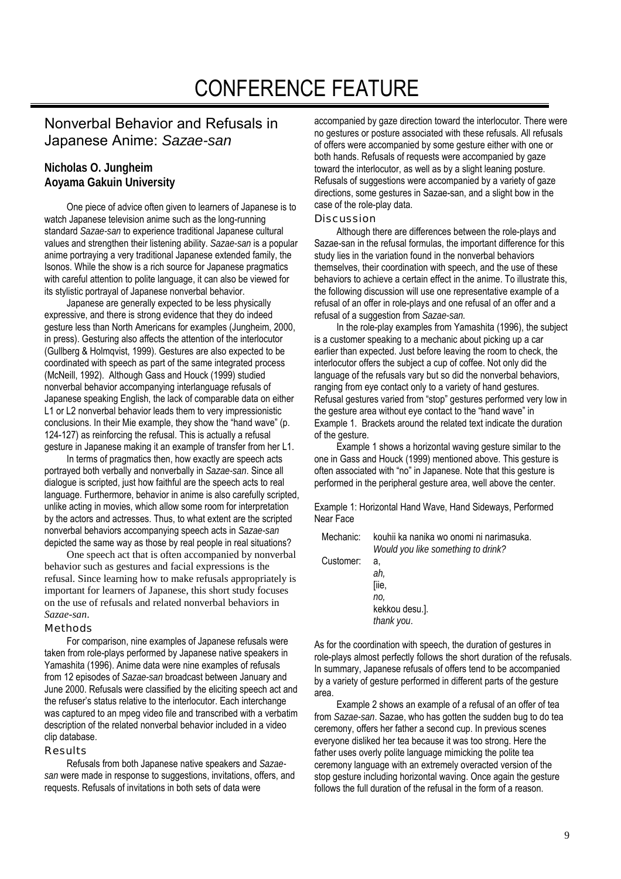# CONFERENCE FEATURE

# Nonverbal Behavior and Refusals in Japanese Anime: *Sazae-san*

# **Nicholas O. Jungheim Aoyama Gakuin University**

 One piece of advice often given to learners of Japanese is to watch Japanese television anime such as the long-running standard *Sazae-san* to experience traditional Japanese cultural values and strengthen their listening ability. *Sazae-san* is a popular anime portraying a very traditional Japanese extended family, the Isonos. While the show is a rich source for Japanese pragmatics with careful attention to polite language, it can also be viewed for its stylistic portrayal of Japanese nonverbal behavior.

 Japanese are generally expected to be less physically expressive, and there is strong evidence that they do indeed gesture less than North Americans for examples (Jungheim, 2000, in press). Gesturing also affects the attention of the interlocutor (Gullberg & Holmqvist, 1999). Gestures are also expected to be coordinated with speech as part of the same integrated process (McNeill, 1992). Although Gass and Houck (1999) studied nonverbal behavior accompanying interlanguage refusals of Japanese speaking English, the lack of comparable data on either L1 or L2 nonverbal behavior leads them to very impressionistic conclusions. In their Mie example, they show the "hand wave" (p. 124-127) as reinforcing the refusal. This is actually a refusal gesture in Japanese making it an example of transfer from her L1.

 In terms of pragmatics then, how exactly are speech acts portrayed both verbally and nonverbally in *Sazae-san*. Since all dialogue is scripted, just how faithful are the speech acts to real language. Furthermore, behavior in anime is also carefully scripted, unlike acting in movies, which allow some room for interpretation by the actors and actresses. Thus, to what extent are the scripted nonverbal behaviors accompanying speech acts in *Sazae-san* depicted the same way as those by real people in real situations?

One speech act that is often accompanied by nonverbal behavior such as gestures and facial expressions is the refusal. Since learning how to make refusals appropriately is important for learners of Japanese, this short study focuses on the use of refusals and related nonverbal behaviors in *Sazae-san*.

#### Methods

 For comparison, nine examples of Japanese refusals were taken from role-plays performed by Japanese native speakers in Yamashita (1996). Anime data were nine examples of refusals from 12 episodes of *Sazae-san* broadcast between January and June 2000. Refusals were classified by the eliciting speech act and the refuser's status relative to the interlocutor. Each interchange was captured to an mpeg video file and transcribed with a verbatim description of the related nonverbal behavior included in a video clip database.

#### Results

 Refusals from both Japanese native speakers and *Sazaesan* were made in response to suggestions, invitations, offers, and requests. Refusals of invitations in both sets of data were

accompanied by gaze direction toward the interlocutor. There were no gestures or posture associated with these refusals. All refusals of offers were accompanied by some gesture either with one or both hands. Refusals of requests were accompanied by gaze toward the interlocutor, as well as by a slight leaning posture. Refusals of suggestions were accompanied by a variety of gaze directions, some gestures in Sazae-san, and a slight bow in the case of the role-play data.

## Discussion

 Although there are differences between the role-plays and Sazae-san in the refusal formulas, the important difference for this study lies in the variation found in the nonverbal behaviors themselves, their coordination with speech, and the use of these behaviors to achieve a certain effect in the anime. To illustrate this, the following discussion will use one representative example of a refusal of an offer in role-plays and one refusal of an offer and a refusal of a suggestion from *Sazae-san.*

 In the role-play examples from Yamashita (1996), the subject is a customer speaking to a mechanic about picking up a car earlier than expected. Just before leaving the room to check, the interlocutor offers the subject a cup of coffee. Not only did the language of the refusals vary but so did the nonverbal behaviors, ranging from eye contact only to a variety of hand gestures. Refusal gestures varied from "stop" gestures performed very low in the gesture area without eye contact to the "hand wave" in Example 1. Brackets around the related text indicate the duration of the gesture.

 Example 1 shows a horizontal waving gesture similar to the one in Gass and Houck (1999) mentioned above. This gesture is often associated with "no" in Japanese. Note that this gesture is performed in the peripheral gesture area, well above the center.

Example 1: Horizontal Hand Wave, Hand Sideways, Performed Near Face

Mechanic: kouhii ka nanika wo onomi ni narimasuka. *Would you like something to drink?*  Customer: a, *ah,*  [iie, *no,*  kekkou desu.]. *thank you*.

As for the coordination with speech, the duration of gestures in role-plays almost perfectly follows the short duration of the refusals. In summary, Japanese refusals of offers tend to be accompanied by a variety of gesture performed in different parts of the gesture area.

 Example 2 shows an example of a refusal of an offer of tea from *Sazae-san*. Sazae, who has gotten the sudden bug to do tea ceremony, offers her father a second cup. In previous scenes everyone disliked her tea because it was too strong. Here the father uses overly polite language mimicking the polite tea ceremony language with an extremely overacted version of the stop gesture including horizontal waving. Once again the gesture follows the full duration of the refusal in the form of a reason.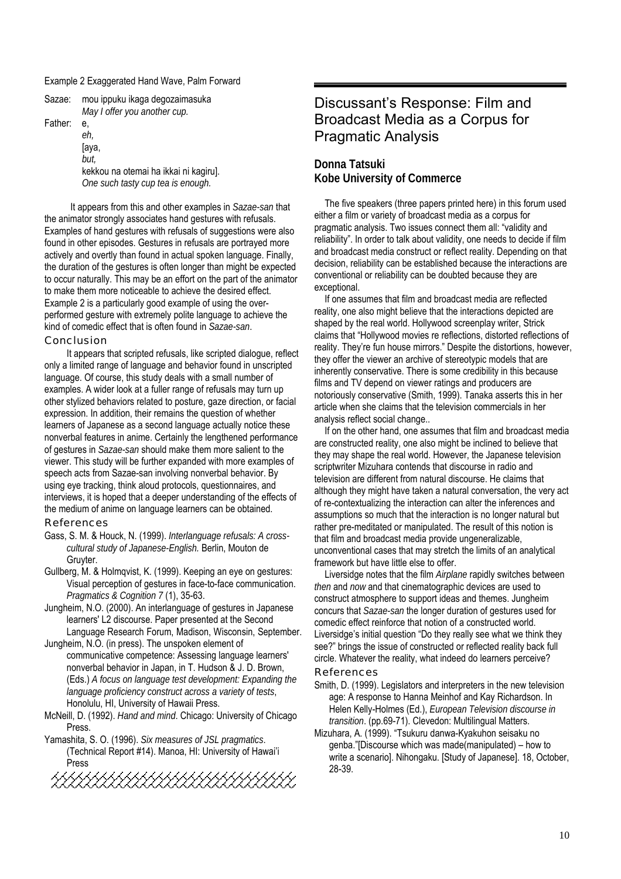#### Example 2 Exaggerated Hand Wave, Palm Forward

| Sazae:  | mou ippuku ikaga degozaimasuka<br>May I offer you another cup.                                           |
|---------|----------------------------------------------------------------------------------------------------------|
| Father: | е.<br>eh,<br>[aya,<br>but.<br>kekkou na otemai ha ikkai ni kagiru].<br>One such tasty cup tea is enough. |

It appears from this and other examples in *Sazae-san* that the animator strongly associates hand gestures with refusals. Examples of hand gestures with refusals of suggestions were also found in other episodes. Gestures in refusals are portrayed more actively and overtly than found in actual spoken language. Finally, the duration of the gestures is often longer than might be expected to occur naturally. This may be an effort on the part of the animator to make them more noticeable to achieve the desired effect. Example 2 is a particularly good example of using the overperformed gesture with extremely polite language to achieve the kind of comedic effect that is often found in *Sazae-san*. Conclusion

 It appears that scripted refusals, like scripted dialogue, reflect only a limited range of language and behavior found in unscripted language. Of course, this study deals with a small number of examples. A wider look at a fuller range of refusals may turn up other stylized behaviors related to posture, gaze direction, or facial expression. In addition, their remains the question of whether learners of Japanese as a second language actually notice these nonverbal features in anime. Certainly the lengthened performance of gestures in *Sazae-san* should make them more salient to the viewer. This study will be further expanded with more examples of speech acts from Sazae-san involving nonverbal behavior. By using eye tracking, think aloud protocols, questionnaires, and interviews, it is hoped that a deeper understanding of the effects of the medium of anime on language learners can be obtained.

#### References

- Gass, S. M. & Houck, N. (1999). *Interlanguage refusals: A crosscultural study of Japanese-English.* Berlin, Mouton de Gruyter.
- Gullberg, M. & Holmqvist, K. (1999). Keeping an eye on gestures: Visual perception of gestures in face-to-face communication. *Pragmatics & Cognition 7* (1), 35-63.
- Jungheim, N.O. (2000). An interlanguage of gestures in Japanese learners' L2 discourse. Paper presented at the Second Language Research Forum, Madison, Wisconsin, September.
- Jungheim, N.O. (in press). The unspoken element of communicative competence: Assessing language learners' nonverbal behavior in Japan, in T. Hudson & J. D. Brown, (Eds.) *A focus on language test development: Expanding the language proficiency construct across a variety of tests*, Honolulu, HI, University of Hawaii Press.
- McNeill, D. (1992). *Hand and mind*. Chicago: University of Chicago Press.
- Yamashita, S. O. (1996). *Six measures of JSL pragmatics*. (Technical Report #14). Manoa, HI: University of Hawai'i Press

# Discussant's Response: Film and Broadcast Media as a Corpus for Pragmatic Analysis

## **Donna Tatsuki Kobe University of Commerce**

The five speakers (three papers printed here) in this forum used either a film or variety of broadcast media as a corpus for pragmatic analysis. Two issues connect them all: "validity and reliability". In order to talk about validity, one needs to decide if film and broadcast media construct or reflect reality. Depending on that decision, reliability can be established because the interactions are conventional or reliability can be doubted because they are exceptional.

If one assumes that film and broadcast media are reflected reality, one also might believe that the interactions depicted are shaped by the real world. Hollywood screenplay writer, Strick claims that "Hollywood movies re reflections, distorted reflections of reality. They're fun house mirrors." Despite the distortions, however, they offer the viewer an archive of stereotypic models that are inherently conservative. There is some credibility in this because films and TV depend on viewer ratings and producers are notoriously conservative (Smith, 1999). Tanaka asserts this in her article when she claims that the television commercials in her analysis reflect social change..

If on the other hand, one assumes that film and broadcast media are constructed reality, one also might be inclined to believe that they may shape the real world. However, the Japanese television scriptwriter Mizuhara contends that discourse in radio and television are different from natural discourse. He claims that although they might have taken a natural conversation, the very act of re-contextualizing the interaction can alter the inferences and assumptions so much that the interaction is no longer natural but rather pre-meditated or manipulated. The result of this notion is that film and broadcast media provide ungeneralizable, unconventional cases that may stretch the limits of an analytical framework but have little else to offer.

Liversidge notes that the film *Airplane* rapidly switches between *then* and *now* and that cinematographic devices are used to construct atmosphere to support ideas and themes. Jungheim concurs that *Sazae-san* the longer duration of gestures used for comedic effect reinforce that notion of a constructed world. Liversidge's initial question "Do they really see what we think they see?" brings the issue of constructed or reflected reality back full circle. Whatever the reality, what indeed do learners perceive? References

- Smith, D. (1999). Legislators and interpreters in the new television age: A response to Hanna Meinhof and Kay Richardson. In Helen Kelly-Holmes (Ed.), *European Television discourse in transition*. (pp.69-71). Clevedon: Multilingual Matters.
- Mizuhara, A. (1999). "Tsukuru danwa-Kyakuhon seisaku no genba."[Discourse which was made(manipulated) – how to write a scenario]. Nihongaku. [Study of Japanese]. 18, October, 28-39.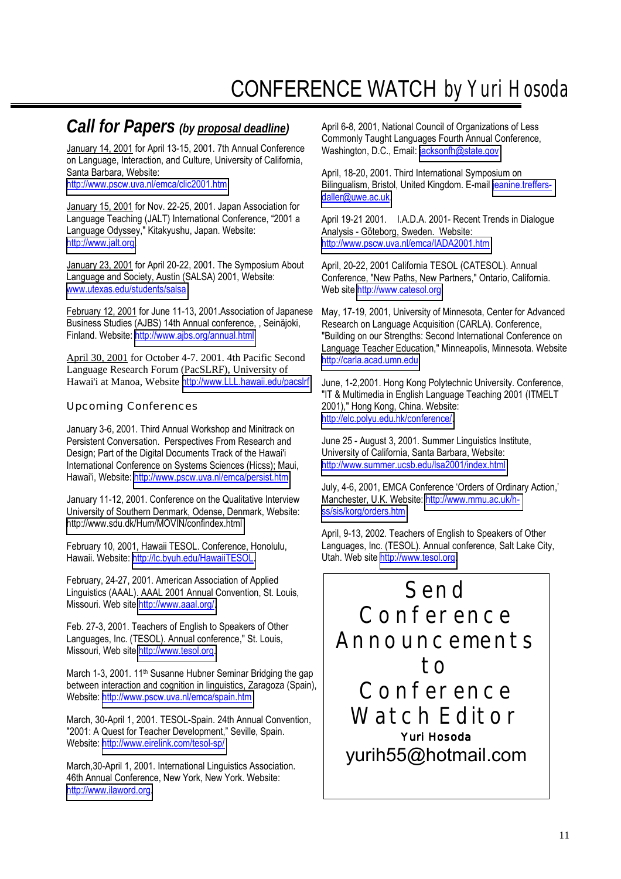# CONFERENCE WATCH *by Yuri Hosoda*

# *Call for Papers (by proposal deadline)*

January 14, 2001 for April 13-15, 2001. 7th Annual Conference on Language, Interaction, and Culture, University of California, Santa Barbara, Website: <http://www.pscw.uva.nl/emca/clic2001.htm>

January 15, 2001 for Nov. 22-25, 2001. Japan Association for Language Teaching (JALT) International Conference, "2001 a Language Odyssey," Kitakyushu, Japan. Website: [http://www.jalt.org.](http://www.jalt.org/)

January 23, 2001 for April 20-22, 2001. The Symposium About Language and Society, Austin (SALSA) 2001, Website: [www.utexas.edu/students/salsa](http://www.utexas.edu/students/salsa)

February 12, 2001 for June 11-13, 2001.Association of Japanese Business Studies (AJBS) 14th Annual conference, , Seinäjoki, Finland. Website:<http://www.ajbs.org/annual.html>

April 30, 2001 for October 4-7. 2001. 4th Pacific Second Language Research Forum (PacSLRF), University of Hawai'i at Manoa, Website [http://www.LLL.hawaii.edu/pacslrf](http://www.lll.hawaii.edu/pacslrf)

## Upcoming Conferences

January 3-6, 2001. Third Annual Workshop and Minitrack on Persistent Conversation. Perspectives From Research and Design; Part of the Digital Documents Track of the Hawai'i International Conference on Systems Sciences (Hicss); Maui, Hawai'i, Website:<http://www.pscw.uva.nl/emca/persist.htm>

January 11-12, 2001. Conference on the Qualitative Interview University of Southern Denmark, Odense, Denmark, Website: <http://www.sdu.dk/Hum/MOVIN/confindex.html>

February 10, 2001, Hawaii TESOL. Conference, Honolulu, Hawaii. Website: [http://lc.byuh.edu/HawaiiTESOL.](http://lc.byuh.edu/HawaiiTESOL)

February, 24-27, 2001. American Association of Applied Linguistics (AAAL). AAAL 2001 Annual Convention, St. Louis, Missouri. Web site [http://www.aaal.org/.](http://www.aaal.org/)

Feb. 27-3, 2001. Teachers of English to Speakers of Other Languages, Inc. (TESOL). Annual conference," St. Louis, Missouri, Web site [http://www.tesol.org.](http://www.tesol.org/)

March 1-3, 2001. 11<sup>th</sup> Susanne Hubner Seminar Bridging the gap between interaction and cognition in linguistics, Zaragoza (Spain), Website: <http://www.pscw.uva.nl/emca/spain.htm>

March, 30-April 1, 2001. TESOL-Spain. 24th Annual Convention, "2001: A Quest for Teacher Development," Seville, Spain. Website: <http://www.eirelink.com/tesol-sp/>

March,30-April 1, 2001. International Linguistics Association. 46th Annual Conference, New York, New York. Website: [http://www.ilaword.org.](http://www.ilaword.org/)

April 6-8, 2001, National Council of Organizations of Less Commonly Taught Languages Fourth Annual Conference, Washington, D.C., Email: [jacksonfh@state.gov](mailto:jacksonfh@state.gov)

April, 18-20, 2001. Third International Symposium on Bilingualism, Bristol, United Kingdom. E-mail [jeanine.treffers](mailto:jeanine.treffers-daller@uwe.ac.uk)[daller@uwe.ac.uk.](mailto:jeanine.treffers-daller@uwe.ac.uk)

April 19-21 2001. I.A.D.A. 2001- Recent Trends in Dialogue Analysis - Göteborg, Sweden. Website: <http://www.pscw.uva.nl/emca/IADA2001.htm>

April, 20-22, 2001 California TESOL (CATESOL). Annual Conference, "New Paths, New Partners," Ontario, California. Web site [http://www.catesol.org.](http://www.catesol.org/)

May, 17-19, 2001, University of Minnesota, Center for Advanced Research on Language Acquisition (CARLA). Conference, "Building on our Strengths: Second International Conference on Language Teacher Education," Minneapolis, Minnesota. Website [http://carla.acad.umn.edu](http://carla.acad.umn.edu/)

June, 1-2,2001. Hong Kong Polytechnic University. Conference, "IT & Multimedia in English Language Teaching 2001 (ITMELT 2001)," Hong Kong, China. Website: [http://elc.polyu.edu.hk/conference/.](http://elc.polyu.edu.hk/conference/)

June 25 - August 3, 2001. Summer Linguistics Institute, University of California, Santa Barbara, Website: <http://www.summer.ucsb.edu/lsa2001/index.html>

July, 4-6, 2001, EMCA Conference 'Orders of Ordinary Action,' Manchester, U.K. Website: [http://www.mmu.ac.uk/h](http://www.mmu.ac.uk/h-ss/sis/korg/orders.htm)[ss/sis/korg/orders.htm](http://www.mmu.ac.uk/h-ss/sis/korg/orders.htm) 

April, 9-13, 2002. Teachers of English to Speakers of Other Languages, Inc. (TESOL). Annual conference, Salt Lake City, Utah. Web site [http://www.tesol.org.](http://www.tesol.org/)

Send Conference Announcements to Conference Watch Editor Yuri Hosoda yurih55@hotmail.com